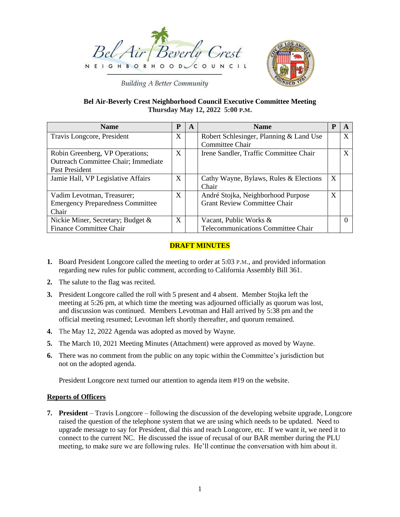



**Building A Better Community** 

## **Bel Air-Beverly Crest Neighborhood Council Executive Committee Meeting Thursday May 12, 2022 5:00 P.M.**

| <b>Name</b>                                 | P | A | <b>Name</b>                             | P |   |
|---------------------------------------------|---|---|-----------------------------------------|---|---|
| Travis Longcore, President                  | X |   | Robert Schlesinger, Planning & Land Use |   | X |
|                                             |   |   | Committee Chair                         |   |   |
| Robin Greenberg, VP Operations;             | X |   | Irene Sandler, Traffic Committee Chair  |   | X |
| <b>Outreach Committee Chair</b> ; Immediate |   |   |                                         |   |   |
| Past President                              |   |   |                                         |   |   |
| Jamie Hall, VP Legislative Affairs          | X |   | Cathy Wayne, Bylaws, Rules & Elections  | X |   |
|                                             |   |   | Chair                                   |   |   |
| Vadim Levotman, Treasurer;                  | X |   | André Stojka, Neighborhood Purpose      | X |   |
| <b>Emergency Preparedness Committee</b>     |   |   | <b>Grant Review Committee Chair</b>     |   |   |
| Chair                                       |   |   |                                         |   |   |
| Nickie Miner, Secretary; Budget &           | X |   | Vacant, Public Works &                  |   |   |
| Finance Committee Chair                     |   |   | Telecommunications Committee Chair      |   |   |

# **DRAFT MINUTES**

- **1.** Board President Longcore called the meeting to order at 5:03 P.M., and provided information regarding new rules for public comment, according to California Assembly Bill 361.
- **2.** The salute to the flag was recited.
- **3.** President Longcore called the roll with 5 present and 4 absent. Member Stojka left the meeting at 5:26 pm, at which time the meeting was adjourned officially as quorum was lost, and discussion was continued. Members Levotman and Hall arrived by 5:38 pm and the official meeting resumed; Levotman left shortly thereafter, and quorum remained.
- **4.** The May 12, 2022 Agenda was adopted as moved by Wayne.
- **5.** The March 10, 2021 Meeting Minutes (Attachment) were approved as moved by Wayne.
- **6.** There was no comment from the public on any topic within the Committee's jurisdiction but not on the adopted agenda.

President Longcore next turned our attention to agenda item #19 on the website.

## **Reports of Officers**

**7. President** – Travis Longcore – following the discussion of the developing website upgrade, Longcore raised the question of the telephone system that we are using which needs to be updated. Need to upgrade message to say for President, dial this and reach Longcore, etc. If we want it, we need it to connect to the current NC. He discussed the issue of recusal of our BAR member during the PLU meeting, to make sure we are following rules. He'll continue the conversation with him about it.